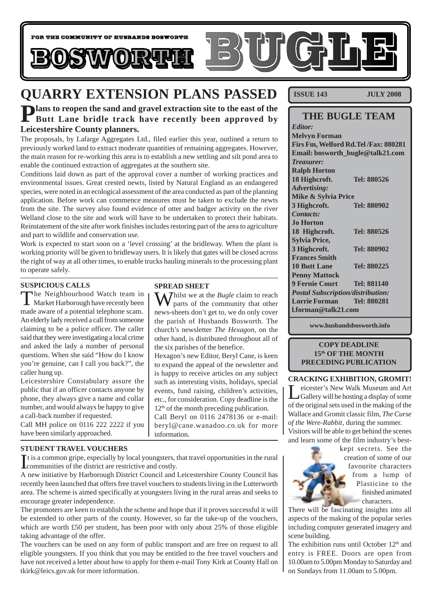

# **QUARRY EXTENSION PLANS PASSED**

# **Plans to reopen the sand and gravel extraction site to the east of the Butt Lane bridle track have recently been approved by Leicestershire County planners.**

The proposals, by Lafarge Aggregates Ltd., filed earlier this year, outlined a return to previously worked land to extract moderate quantities of remaining aggregates. However, the main reason for re-working this area is to establish a new settling and silt pond area to enable the continued extraction of aggregates at the southern site.

Conditions laid down as part of the approval cover a number of working practices and environmental issues. Great crested newts, listed by Natural England as an endangered species, were noted in an ecological assessment of the area conducted as part of the planning application. Before work can commence measures must be taken to exclude the newts from the site. The survey also found evidence of otter and badger activity on the river Welland close to the site and work will have to be undertaken to protect their habitats. Reinstatement of the site after work finishes includes restoring part of the area to agriculture and part to wildlife and conservation use.

Work is expected to start soon on a 'level crossing' at the bridleway. When the plant is working priority will be given to bridleway users. It is likely that gates will be closed across the right of way at all other times, to enable trucks hauling minerals to the processing plant to operate safely.

**SPREAD SHEET**

Whilst we at the *Bugle* claim to reach parts of the community that other news-sheets don't get to, we do only cover the parish of Husbands Bosworth. The church's newsletter *The Hexagon*, on the other hand, is distributed throughout all of

Hexagon's new Editor, Beryl Cane, is keen to expand the appeal of the newsletter and is happy to receive articles on any subject such as interesting visits, holidays, special events, fund raising, children's activities, etc., for consideration. Copy deadline is the  $12<sup>th</sup>$  of the month preceding publication. Call Beryl on 0116 2478136 or e-mail: beryl@cane.wanadoo.co.uk for more

the six parishes of the benefice.

#### **SUSPICIOUS CALLS**

The Neighbourhood Watch team in  $\blacksquare$  Market Harborough have recently been made aware of a potential telephone scam. An elderly lady received a call from someone claiming to be a police officer. The caller said that they were investigating a local crime and asked the lady a number of personal questions. When she said "How do I know you're genuine, can I call you back?", the caller hung up.

Leicestershire Constabulary assure the public that if an officer contacts anyone by phone, they always give a name and collar number, and would always be happy to give a call-back number if requested.

Call MH police on 0116 222 2222 if you have been similarly approached.

#### **STUDENT TRAVEL VOUCHERS**

It is a common gripe, especially by local youngsters,<br>communities of the district are restrictive and costly. t is a common gripe, especially by local youngsters, that travel opportunities in the rural

information.

A new initiative by Harborough District Council and Leicestershire County Council has recently been launched that offers free travel vouchers to students living in the Lutterworth area. The scheme is aimed specifically at youngsters living in the rural areas and seeks to encourage greater independence.

The promoters are keen to establish the scheme and hope that if it proves successful it will be extended to other parts of the county. However, so far the take-up of the vouchers, which are worth £50 per student, has been poor with only about 25% of those eligible taking advantage of the offer.

The vouchers can be used on any form of public transport and are free on request to all eligible youngsters. If you think that you may be entitled to the free travel vouchers and have not received a letter about how to apply for them e-mail Tony Kirk at County Hall on tkirk@leics.gov.uk for more information.

**ISSUE 143 JULY 2008**

| <b>THE BUGLE TEAM</b>                    |             |
|------------------------------------------|-------------|
| <b>Editor:</b>                           |             |
| <b>Melvyn Forman</b>                     |             |
| Firs Fm, Welford Rd. Tel /Fax: 880281    |             |
| Email: bosworth_bugle@talk21.com         |             |
| <b>Treasurer:</b>                        |             |
| <b>Ralph Horton</b>                      |             |
| 18 Highcroft.                            | Tel: 880526 |
| <b>Advertising:</b>                      |             |
| Mike & Sylvia Price                      |             |
| 3 Highcroft.                             | Tel: 880902 |
| Contacts:                                |             |
| <b>Jo Horton</b>                         |             |
| 18 Highcroft.                            | Tel: 880526 |
| <b>Sylvia Price,</b>                     |             |
| 3 Highcroft.                             | Tel: 880902 |
| <b>Frances Smith</b>                     |             |
| <b>10 Butt Lane</b>                      | Tel: 880225 |
| <b>Penny Mattock</b>                     |             |
| <b>9 Fernie Court</b>                    | Tel: 881140 |
| <b>Postal Subscription/distribution:</b> |             |
| <b>Lorrie Forman</b>                     | Tel: 880281 |
| $1.$ forman@talk21.com                   |             |

**www.husbandsbosworth.info**

#### **COPY DEADLINE 15th OF THE MONTH PRECEDING PUBLICATION**

#### **CRACKING EXHIBITION, GROMIT!**

eicester's New Walk Museum and Art Gallery will be hosting a display of some of the original sets used in the making of the Wallace and Gromit classic film, *The Curse of the Were-Rabbit*, during the summer. Visitors will be able to get behind the scenes

and learn some of the film industry's best-

kept secrets. See the creation of some of our favourite characters from a lump of Plasticine to the finished animated characters.

There will be fascinating insights into all aspects of the making of the popular series including computer generated imagery and scene building.

The exhibition runs until October  $12<sup>th</sup>$  and entry is FREE. Doors are open from 10.00am to 5.00pm Monday to Saturday and on Sundays from 11.00am to 5.00pm.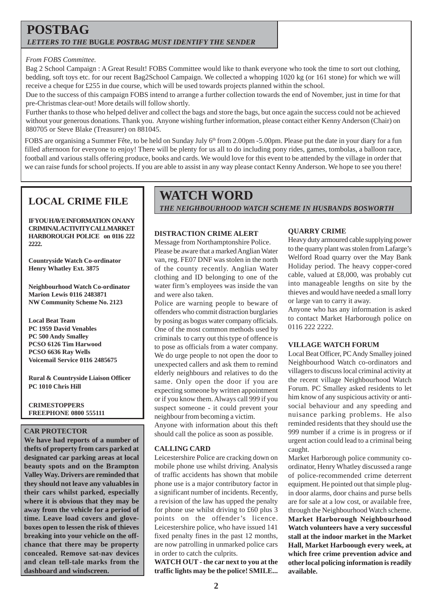## **POSTBAG** *LETTERS TO THE* **BUGLE** *POSTBAG MUST IDENTIFY THE SENDER*

#### *From FOBS Committee.*

Bag 2 School Campaign : A Great Result! FOBS Committee would like to thank everyone who took the time to sort out clothing, bedding, soft toys etc. for our recent Bag2School Campaign. We collected a whopping 1020 kg (or 161 stone) for which we will receive a cheque for £255 in due course, which will be used towards projects planned within the school.

Due to the success of this campaign FOBS intend to arrange a further collection towards the end of November, just in time for that pre-Christmas clear-out! More details will follow shortly.

Further thanks to those who helped deliver and collect the bags and store the bags, but once again the success could not be achieved without your generous donations. Thank you. Anyone wishing further information, please contact either Kenny Anderson (Chair) on 880705 or Steve Blake (Treasurer) on 881045.

FOBS are organising a Summer Fête, to be held on Sunday July 6<sup>th</sup> from 2.00pm -5.00pm. Please put the date in your diary for a fun filled afternoon for everyone to enjoy! There will be plenty for us all to do including pony rides, games, tombolas, a balloon race, football and various stalls offering produce, books and cards. We would love for this event to be attended by the village in order that we can raise funds for school projects. If you are able to assist in any way please contact Kenny Anderson. We hope to see you there!

## **LOCAL CRIME FILE**

**IF YOU HAVE INFORMATION ON ANY CRIMINAL ACTIVITY CALL MARKET HARBOROUGH POLICE on 0116 222 2222.**

**Countryside Watch Co-ordinator Henry Whatley Ext. 3875**

**Neighbourhood Watch Co-ordinator Marion Lewis 0116 2483871 NW Community Scheme No. 2123**

**Local Beat Team PC 1959 David Venables PC 500 Andy Smalley PCSO 6126 Tim Harwood PCSO 6636 Ray Wells Voicemail Service 0116 2485675**

**Rural & Countryside Liaison Officer PC 1010 Chris Hill**

**CRIMESTOPPERS FREEPHONE 0800 555111**

#### **CAR PROTECTOR**

**We have had reports of a number of thefts of property from cars parked at designated car parking areas at local beauty spots and on the Brampton Valley Way. Drivers are reminded that they should not leave any valuables in their cars whilst parked, especially where it is obvious that they may be away from the vehicle for a period of time. Leave load covers and gloveboxes open to lessen the risk of thieves breaking into your vehicle on the offchance that there may be property concealed. Remove sat-nav devices and clean tell-tale marks from the dashboard and windscreen.**

# **WATCH WORD**

*THE NEIGHBOURHOOD WATCH SCHEME IN HUSBANDS BOSWORTH*

### **DISTRACTION CRIME ALERT**

Message from Northamptonshire Police. Please be aware that a marked Anglian Water van, reg. FE07 DNF was stolen in the north of the county recently. Anglian Water clothing and ID belonging to one of the water firm's employees was inside the van and were also taken.

Police are warning people to beware of offenders who commit distraction burglaries by posing as bogus water company officials. One of the most common methods used by criminals to carry out this type of offence is to pose as officials from a water company. We do urge people to not open the door to unexpected callers and ask them to remind elderly neighbours and relatives to do the same. Only open the door if you are expecting someone by written appointment or if you know them. Always call 999 if you suspect someone - it could prevent your neighbour from becoming a victim.

Anyone with information about this theft should call the police as soon as possible.

#### **CALLING CARD**

Leicestershire Police are cracking down on mobile phone use whilst driving. Analysis of traffic accidents has shown that mobile phone use is a major contributory factor in a significant number of incidents. Recently, a revision of the law has upped the penalty for phone use whilst driving to £60 plus 3 points on the offender's licence. Leicestershire police, who have issued 141 fixed penalty fines in the past 12 months, are now patrolling in unmarked police cars in order to catch the culprits.

**WATCH OUT - the car next to you at the traffic lights may be the police! SMILE...**

#### **QUARRY CRIME**

Heavy duty armoured cable supplying power to the quarry plant was stolen from Lafarge's Welford Road quarry over the May Bank Holiday period. The heavy copper-cored cable, valued at £8,000, was probably cut into manageable lengths on site by the thieves and would have needed a small lorry or large van to carry it away.

Anyone who has any information is asked to contact Market Harborough police on 0116 222 2222.

#### **VILLAGE WATCH FORUM**

Local Beat Officer, PC Andy Smalley joined Neighbourhood Watch co-ordinators and villagers to discuss local criminal activity at the recent village Neighbourhood Watch Forum. PC Smalley asked residents to let him know of any suspicious activity or antisocial behaviour and any speeding and nuisance parking problems. He also reminded residents that they should use the 999 number if a crime is in progress or if urgent action could lead to a criminal being caught.

Market Harborough police community coordinator, Henry Whatley discussed a range of police-recommended crime deterrent equipment. He pointed out that simple plugin door alarms, door chains and purse bells are for sale at a low cost, or available free, through the Neighbourhood Watch scheme. **Market Harborough Neighbourhood Watch volunteers have a very successful stall at the indoor market in the Market Hall, Market Harboough every week, at which free crime prevention advice and other local policing information is readily available.**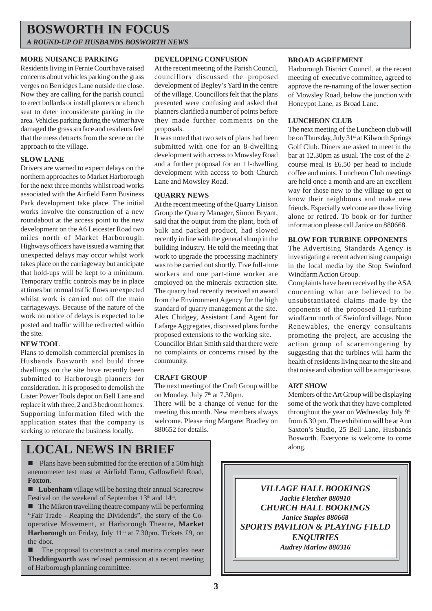## **BOSWORTH IN FOCUS** *A ROUND-UP OF HUSBANDS BOSWORTH NEWS*

#### **MORE NUISANCE PARKING**

Residents living in Fernie Court have raised concerns about vehicles parking on the grass verges on Berridges Lane outside the close. Now they are calling for the parish council to erect bollards or install planters or a bench seat to deter inconsiderate parking in the area. Vehicles parking during the winter have damaged the grass surface and residents feel that the mess detracts from the scene on the approach to the village.

#### **SLOW LANE**

Drivers are warned to expect delays on the northern approaches to Market Harborough for the next three months whilst road works associated with the Airfield Farm Business Park development take place. The initial works involve the construction of a new roundabout at the access point to the new development on the A6 Leicester Road two miles north of Market Harborough. Highways officers have issued a warning that unexpected delays may occur whilst work takes place on the carriageway but anticipate that hold-ups will be kept to a minimum. Temporary traffic controls may be in place at times but normal traffic flows are expected whilst work is carried out off the main carriageways. Because of the nature of the work no notice of delays is expected to be posted and traffic will be redirected within the site.

#### **NEW TOOL**

Plans to demolish commercial premises in Husbands Bosworth and build three dwellings on the site have recently been submitted to Harborough planners for consideration. It is proposed to demolish the Lister Power Tools depot on Bell Lane and replace it with three, 2 and 3 bedroom homes. Supporting information filed with the application states that the company is seeking to relocate the business locally.

#### **DEVELOPING CONFUSION**

At the recent meeting of the Parish Council, councillors discussed the proposed development of Begley's Yard in the centre of the village. Councillors felt that the plans presented were confusing and asked that planners clarified a number of points before they made further comments on the proposals.

It was noted that two sets of plans had been submitted with one for an 8-dwelling development with access to Mowsley Road and a further proposal for an 11-dwelling development with access to both Church Lane and Mowsley Road.

#### **QUARRY NEWS**

At the recent meeting of the Quarry Liaison Group the Quarry Manager, Simon Bryant, said that the output from the plant, both of bulk and packed product, had slowed recently in line with the general slump in the building industry. He told the meeting that work to upgrade the processing machinery was to be carried out shortly. Five full-time workers and one part-time worker are employed on the minerals extraction site. The quarry had recently received an award from the Environment Agency for the high standard of quarry management at the site. Alex Chidgey, Assistant Land Agent for Lafarge Aggregates, discussed plans for the proposed extensions to the working site.

Councillor Brian Smith said that there were no complaints or concerns raised by the community.

#### **CRAFT GROUP**

The next meeting of the Craft Group will be on Monday, July 7<sup>th</sup> at 7.30pm.

There will be a change of venue for the meeting this month. New members always welcome. Please ring Margaret Bradley on 880652 for details.

#### **BROAD AGREEMENT**

Harborough District Council, at the recent meeting of executive committee, agreed to approve the re-naming of the lower section of Mowsley Road, below the junction with Honeypot Lane, as Broad Lane.

#### **LUNCHEON CLUB**

The next meeting of the Luncheon club will be on Thursday, July 31<sup>st</sup> at Kilworth Springs Golf Club. Diners are asked to meet in the bar at 12.30pm as usual. The cost of the 2 course meal is £6.50 per head to include coffee and mints. Luncheon Club meetings are held once a month and are an excellent way for those new to the village to get to know their neighbours and make new friends. Especially welcome are those living alone or retired. To book or for further information please call Janice on 880668.

#### **BLOW FOR TURBINE OPPONENTS**

The Advertising Standards Agency is investigating a recent advertising campaign in the local media by the Stop Swinford Windfarm Action Group.

Complaints have been received by the ASA concerning what are believed to be unsubstantiated claims made by the opponents of the proposed 11-turbine windfarm north of Swinford village. Nuon Renewables, the energy consultants promoting the project, are accusing the action group of scaremongering by suggesting that the turbines will harm the health of residents living near to the site and that noise and vibration will be a major issue.

#### **ART SHOW**

Members of the Art Group will be displaying some of the work that they have completed throughout the year on Wednesday July 9<sup>th</sup> from 6.30 pm. The exhibition will be at Ann Saxton's Studio, 25 Bell Lane, Husbands Bosworth. Everyone is welcome to come along.

## **LOCAL NEWS IN BRIEF**

■ Plans have been submitted for the erection of a 50m high anemometer test mast at Airfield Farm, Gallowfield Road, **Foxton**.

■ Lubenham village will be hosting their annual Scarecrow Festival on the weekend of September 13<sup>th</sup> and 14<sup>th</sup>.

 $\blacksquare$  The Mikron travelling theatre company will be performing "Fair Trade - Reaping the Dividends", the story of the Cooperative Movement, at Harborough Theatre, **Market Harborough** on Friday, July 11<sup>th</sup> at 7.30pm. Tickets £9, on the door.

■ The proposal to construct a canal marina complex near **Theddingworth** was refused permission at a recent meeting of Harborough planning committee.

*VILLAGE HALL BOOKINGS Jackie Fletcher 880910 CHURCH HALL BOOKINGS Janice Staples 880668 SPORTS PAVILION & PLAYING FIELD ENQUIRIES Audrey Marlow 880316*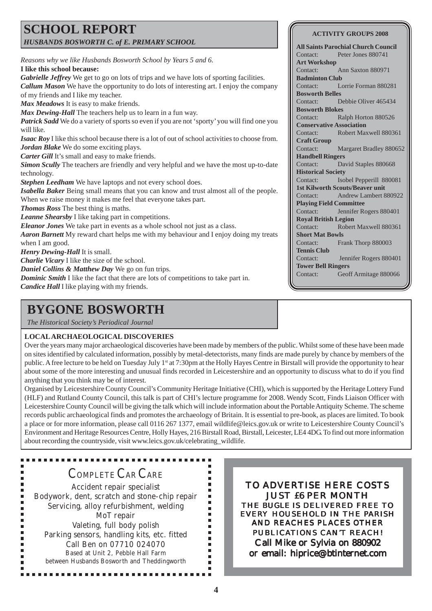## **SCHOOL REPORT** *HUSBANDS BOSWORTH C. of E. PRIMARY SCHOOL*

*Reasons why we like Husbands Bosworth School by Years 5 and 6.* **I like this school because:** *Gabrielle Jeffrey* We get to go on lots of trips and we have lots of sporting facilities. *Callum Mason* We have the opportunity to do lots of interesting art. I enjoy the company of my friends and I like my teacher. *Max Meadows* It is easy to make friends. *Max Dewing-Hall* The teachers help us to learn in a fun way. *Patrick Sadd* We do a variety of sports so even if you are not 'sporty' you will find one you will like. *Isaac Roy* I like this school because there is a lot of out of school activities to choose from. *Jordan Blake* We do some exciting plays. *Carter Gill It's small and easy to make friends. Simon Scully* The teachers are friendly and very helpful and we have the most up-to-date technology. *Stephen Leedham* We have laptops and not every school does. *Isabella Baker* Being small means that you can know and trust almost all of the people. When we raise money it makes me feel that everyone takes part. *Thomas Ross* The best thing is maths. *Leanne Shearsby* I like taking part in competitions. *Eleanor Jones* We take part in events as a whole school not just as a class. *Aaron Barnett* My reward chart helps me with my behaviour and I enjoy doing my treats when I am good. *Henry Dewing-Hall* It is small. *Charlie Vicary* I like the size of the school. *Daniel Collins & Matthew Day* We go on fun trips. *Dominic Smith* I like the fact that there are lots of competitions to take part in.

*Candice Hall* I like playing with my friends.

# **BYGONE BOSWORTH**

*The Historical Society's Periodical Journal*

#### **LOCAL ARCHAEOLOGICAL DISCOVERIES**

Over the years many major archaeological discoveries have been made by members of the public. Whilst some of these have been made on sites identified by calculated information, possibly by metal-detectorists, many finds are made purely by chance by members of the public. A free lecture to be held on Tuesday July 1<sup>st</sup> at 7:30pm at the Holly Hayes Centre in Birstall will provide the opportunity to hear about some of the more interesting and unusual finds recorded in Leicestershire and an opportunity to discuss what to do if you find anything that you think may be of interest.

Organised by Leicestershire County Council's Community Heritage Initiative (CHI), which is supported by the Heritage Lottery Fund (HLF) and Rutland County Council, this talk is part of CHI's lecture programme for 2008. Wendy Scott, Finds Liaison Officer with Leicestershire County Council will be giving the talk which will include information about the Portable Antiquity Scheme. The scheme records public archaeological finds and promotes the archaeology of Britain. It is essential to pre-book, as places are limited. To book a place or for more information, please call 0116 267 1377, email wildlife@leics.gov.uk or write to Leicestershire County Council's Environment and Heritage Resources Centre, Holly Hayes, 216 Birstall Road, Birstall, Leicester, LE4 4DG. To find out more information about recording the countryside, visit www.leics.gov.uk/celebrating\_wildlife.

> $\blacksquare$  $\blacksquare$

> $\blacksquare$  $\blacksquare$  $\blacksquare$  $\blacksquare$  $\blacksquare$  $\blacksquare$  $\blacksquare$ ٠

## COMPLETE CAR CARE

Accident repair specialist Bodywork, dent, scratch and stone-chip repair Servicing, alloy refurbishment, welding MoT repair Valeting, full body polish Parking sensors, handling kits, etc. fitted Call Ben on 07710 024070 Based at Unit 2, Pebble Hall Farm between Husbands Bosworth and Theddingworth

.............

TO ADVERTISE HERE COSTS JUST £6 PER MONTH THE *BUGLE* IS DELIVERED FREE TO EVERY HOUSEHOLD IN THE PARISH AND REACHES PLACES OTHER PUBLICATIONS CAN'T REACH! Call Mike or Sylvia on 880902 or email: hiprice@btinternet.com

#### **ACTIVITY GROUPS 2008**

**All Saints Parochial Church Council** Contact: Peter Jones 880741 **Art Workshop** Contact: Ann Saxton 880971 **Badminton Club** Contact: Lorrie Forman 880281 **Bosworth Belles** Contact: Debbie Oliver 465434 **Bosworth Blokes** Contact: Ralph Horton 880526 **Conservative Association** Contact: Robert Maxwell 880361 **Craft Group** Contact: Margaret Bradley 880652 **Handbell Ringers** Contact: David Staples 880668 **Historical Society** Contact: Isobel Pepperill 880081 **1st Kilworth Scouts/Beaver unit** Contact: Andrew Lambert 880922 **Playing Field Committee** Contact: Jennifer Rogers 880401 **Royal British Legion** Contact: Robert Maxwell 880361 **Short Mat Bowls** Contact: Frank Thorp 880003 **Tennis Club** Contact: Jennifer Rogers 880401 **Tower Bell Ringers** Contact: Geoff Armitage 880066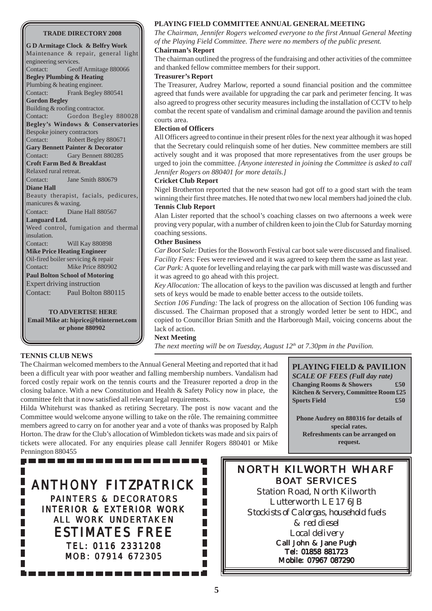#### **TRADE DIRECTORY 2008**

**G D Armitage Clock & Belfry Work** Maintenance & repair, general light engineering services. Contact: Geoff Armitage 880066 **Begley Plumbing & Heating** Plumbing & heating engineer. Contact: Frank Begley 880541 **Gordon Begley** Building & roofing contractor. Contact: Gordon Begley 880028 **Begley's Windows & Conservatories** Bespoke joinery contractors Contact: Robert Begley 880671 **Gary Bennett Painter & Decorator** Contact: Gary Bennett 880285 **Croft Farm Bed & Breakfast** Relaxed rural retreat. Contact: Jane Smith 880679 **Diane Hall** Beauty therapist, facials, pedicures, manicures & waxing. Contact: Diane Hall 880567 **Languard Ltd.** Weed control, fumigation and thermal insulation. Contact: Will Kay 880898 **Mike Price Heating Engineer** Oil-fired boiler servicing & repair Contact: Mike Price 880902 **Paul Bolton School of Motoring** Expert driving instruction Contact: Paul Bolton 880115 **TO ADVERTISE HERE**

**Email Mike at: hiprice@btinternet.com or phone 880902**

#### **TENNIS CLUB NEWS**

**PLAYING FIELD COMMITTEE ANNUAL GENERAL MEETING**

*The Chairman, Jennifer Rogers welcomed everyone to the first Annual General Meeting of the Playing Field Committee. There were no members of the public present.*

**Chairman's Report**

The chairman outlined the progress of the fundraising and other activities of the committee and thanked fellow committee members for their support.

#### **Treasurer's Report**

The Treasurer, Audrey Marlow, reported a sound financial position and the committee agreed that funds were available for upgrading the car park and perimeter fencing. It was also agreed to progress other security measures including the installation of CCTV to help combat the recent spate of vandalism and criminal damage around the pavilion and tennis courts area.

#### **Election of Officers**

All Officers agreed to continue in their present rôles for the next year although it was hoped that the Secretary could relinquish some of her duties. New committee members are still actively sought and it was proposed that more representatives from the user groups be urged to join the committee. *[Anyone interested in joining the Committee is asked to call Jennifer Rogers on 880401 for more details.]*

#### **Cricket Club Report**

Nigel Brotherton reported that the new season had got off to a good start with the team winning their first three matches. He noted that two new local members had joined the club. **Tennis Club Report**

Alan Lister reported that the school's coaching classes on two afternoons a week were proving very popular, with a number of children keen to join the Club for Saturday morning coaching sessions.

#### **Other Business**

*Car Boot Sale:* Duties for the Bosworth Festival car boot sale were discussed and finalised. *Facility Fees:* Fees were reviewed and it was agreed to keep them the same as last year. *Car Park:* A quote for levelling and relaying the car park with mill waste was discussed and it was agreed to go ahead with this project.

*Key Allocation:* The allocation of keys to the pavilion was discussed at length and further sets of keys would be made to enable better access to the outside toilets.

*Section 106 Funding:* The lack of progress on the allocation of Section 106 funding was discussed. The Chairman proposed that a strongly worded letter be sent to HDC, and copied to Councillor Brian Smith and the Harborough Mail, voicing concerns about the lack of action.

#### **Next Meeting**

*The next meeting will be on Tuesday, August 12<sup>th</sup> at 7.30pm in the Pavilion.* 

The Chairman welcomed members to the Annual General Meeting and reported that it had been a difficult year with poor weather and falling membership numbers. Vandalism had forced costly repair work on the tennis courts and the Treasurer reported a drop in the closing balance. With a new Constitution and Health & Safety Policy now in place, the committee felt that it now satisfied all relevant legal requirements.

Hilda Whitehurst was thanked as retiring Secretary. The post is now vacant and the Committee would welcome anyone willing to take on the rôle. The remaining committee members agreed to carry on for another year and a vote of thanks was proposed by Ralph Horton. The draw for the Club's allocation of Wimbledon tickets was made and six pairs of tickets were allocated. For any enquiries please call Jennifer Rogers 880401 or Mike Pennington 880455

**PLAYING FIELD & PAVILION** *SCALE OF FEES (Full day rate)* **Changing Rooms & Showers £50 Kitchen & Servery, Committee Room £25 Sports Field**  $£50$ 

**Phone Audrey on 880316 for details of special rates. Refreshments can be arranged on request.**



NORTH KILWORTH WHARF BOAT SERVICES Station Road, North Kilworth Lutterworth LE17 6JB *Stockists of Calorgas, household fuels & red diesel Local delivery* Call John & Jane Pugh Tel: 01858 881723 Mobile: 07967 087290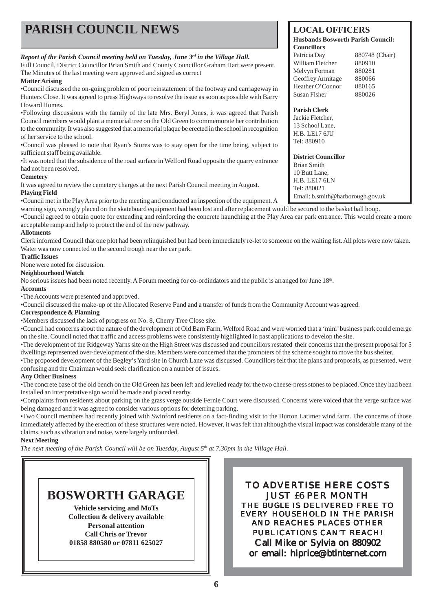| <b>PARISH COUNCIL NEWS</b>                                                                                                                                                                                                                                                                                                                                                                                                                                                                    | <b>LOCAL OFFICERS</b><br><b>Husbands Bosworth Parish Council:</b><br><b>Councillors</b>                                                                                        |  |  |  |
|-----------------------------------------------------------------------------------------------------------------------------------------------------------------------------------------------------------------------------------------------------------------------------------------------------------------------------------------------------------------------------------------------------------------------------------------------------------------------------------------------|--------------------------------------------------------------------------------------------------------------------------------------------------------------------------------|--|--|--|
| Report of the Parish Council meeting held on Tuesday, June 3rd in the Village Hall.<br>Full Council, District Councillor Brian Smith and County Councillor Graham Hart were present.<br>The Minutes of the last meeting were approved and signed as correct<br><b>Matter Arising</b><br>•Council discussed the on-going problem of poor reinstatement of the footway and carriageway in<br>Hunters Close. It was agreed to press Highways to resolve the issue as soon as possible with Barry | Patricia Day<br>880748 (Chair)<br>William Fletcher<br>880910<br>Melvyn Forman<br>880281<br>Geoffrey Armitage<br>880066<br>Heather O'Connor<br>880165<br>Susan Fisher<br>880026 |  |  |  |
| Howard Homes.<br>•Following discussions with the family of the late Mrs. Beryl Jones, it was agreed that Parish<br>Council members would plant a memorial tree on the Old Green to commemorate her contribution<br>to the community. It was also suggested that a memorial plaque be erected in the school in recognition<br>of her service to the school.<br>•Council was pleased to note that Ryan's Stores was to stay open for the time being, subject to                                 | <b>Parish Clerk</b><br>Jackie Fletcher,<br>13 School Lane,<br><b>H.B. LE17 6JU</b><br>Tel: 880910                                                                              |  |  |  |
| sufficient staff being available.<br>•It was noted that the subsidence of the road surface in Welford Road opposite the quarry entrance<br>had not been resolved.<br><b>Cemetery</b><br>It was agreed to review the cemetery charges at the next Parish Council meeting in August.<br><b>Playing Field</b><br>•Council met in the Play Area prior to the meeting and conducted an inspection of the equipment. A                                                                              | <b>District Councillor</b><br>Brian Smith<br>10 Butt Lane,<br><b>H.B. LE17 6LN</b><br>Tel: 880021<br>Email: b.smith@harborough.gov.uk                                          |  |  |  |

warning sign, wrongly placed on the skateboard equipment had been lost and after replacement would be secured to the basket ball hoop.

•Council agreed to obtain quote for extending and reinforcing the concrete haunching at the Play Area car park entrance. This would create a more acceptable ramp and help to protect the end of the new pathway.

#### **Allotments**

Clerk informed Council that one plot had been relinquished but had been immediately re-let to someone on the waiting list. All plots were now taken. Water was now connected to the second trough near the car park.

#### **Traffic Issues**

None were noted for discussion.

#### **Neighbourhood Watch**

No serious issues had been noted recently. A Forum meeting for co-ordindators and the public is arranged for June 18<sup>th</sup>.

#### **Accounts**

•The Accounts were presented and approved.

•Council discussed the make-up of the Allocated Reserve Fund and a transfer of funds from the Community Account was agreed.

#### **Correspondence & Planning**

•Members discussed the lack of progress on No. 8, Cherry Tree Close site.

•Council had concerns about the nature of the development of Old Barn Farm, Welford Road and were worried that a 'mini' business park could emerge on the site. Council noted that traffic and access problems were consistently highlighted in past applications to develop the site.

•The development of the Ridgeway Yarns site on the High Street was discussed and councillors restated their concerns that the present proposal for 5 dwellings represented over-development of the site. Members were concerned that the promoters of the scheme sought to move the bus shelter.

•The proposed development of the Begley's Yard site in Church Lane was discussed. Councillors felt that the plans and proposals, as presented, were confusing and the Chairman would seek clarification on a number of issues.

#### **Any Other Business**

•The concrete base of the old bench on the Old Green has been left and levelled ready for the two cheese-press stones to be placed. Once they had been installed an interpretative sign would be made and placed nearby.

•Complaints from residents about parking on the grass verge outside Fernie Court were discussed. Concerns were voiced that the verge surface was being damaged and it was agreed to consider various options for deterring parking.

•Two Council members had recently joined with Swinford residents on a fact-finding visit to the Burton Latimer wind farm. The concerns of those immediately affected by the erection of these structures were noted. However, it was felt that although the visual impact was considerable many of the claims, such as vibration and noise, were largely unfounded.

#### **Next Meeting**

*The next meeting of the Parish Council will be on Tuesday, August 5<sup>th</sup> at 7.30pm in the Village Hall.* 



TO ADVERTISE HERE COSTS JUST £6 PER MONTH THE *BUGLE* IS DELIVERED FREE TO EVERY HOUSEHOLD IN THE PARISH AND REACHES PLACES OTHER PUBLICATIONS CAN'T REACH! Call Mike or Sylvia on 880902 or email: hiprice@btinternet.com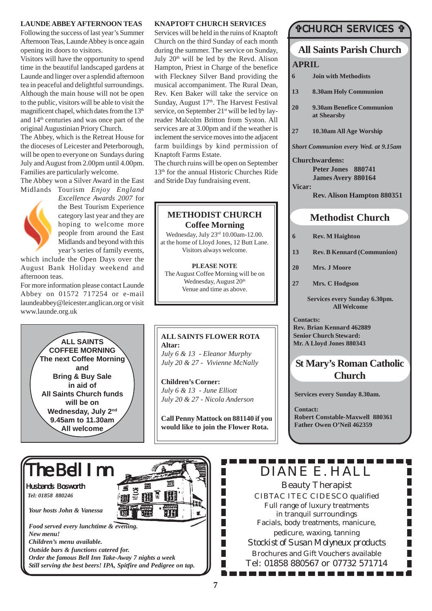#### **LAUNDE ABBEY AFTERNOON TEAS**

Following the success of last year's Summer Afternoon Teas, Launde Abbey is once again opening its doors to visitors.

Visitors will have the opportunity to spend time in the beautiful landscaped gardens at Launde and linger over a splendid afternoon tea in peaceful and delightful surroundings. Although the main house will not be open to the public, visitors will be able to visit the magnificent chapel, which dates from the 13<sup>th</sup> and 14th centuries and was once part of the original Augustinian Priory Church.

The Abbey, which is the Retreat House for the dioceses of Leicester and Peterborough, will be open to everyone on Sundays during July and August from 2.00pm until 4.00pm. Families are particularly welcome.

The Abbey won a Silver Award in the East Midlands Tourism *Enjoy England*



*Excellence Awards 2007* for the Best Tourism Experience category last year and they are hoping to welcome more people from around the East Midlands and beyond with this year's series of family events,

which include the Open Days over the August Bank Holiday weekend and afternoon teas*.*

For more information please contact Launde Abbey on 01572 717254 or e-mail laundeabbey@leicester.anglican.org or visit www.launde.org.uk

> **ALL SAINTS COFFEE MORNING The next Coffee Morning and Bring & Buy Sale in aid of All Saints Church funds will be on Wednesday, July 2nd 9.45am to 11.30am All welcome**

#### **KNAPTOFT CHURCH SERVICES**

Services will be held in the ruins of Knaptoft Church on the third Sunday of each month during the summer. The service on Sunday, July 20<sup>th</sup> will be led by the Revd. Alison Hampton, Priest in Charge of the benefice with Fleckney Silver Band providing the musical accompaniment. The Rural Dean, Rev. Ken Baker will take the service on Sunday, August 17th. The Harvest Festival service, on September 21<sup>st</sup> will be led by layreader Malcolm Britton from Syston. All services are at 3.00pm and if the weather is inclement the service moves into the adjacent farm buildings by kind permission of Knaptoft Farms Estate.

The church ruins will be open on September 13th for the annual Historic Churches Ride and Stride Day fundraising event.

### **METHODIST CHURCH Coffee Morning**

Wednesday, July 23rd 10.00am-12.00. at the home of Lloyd Jones, 12 Butt Lane. Visitors always welcome.

**PLEASE NOTE** The August Coffee Morning will be on Wednesday, August 20<sup>th</sup> Venue and time as above.

### **ALL SAINTS FLOWER ROTA Altar:** *July 6 & 13 - Eleanor Murphy*

*July 20 & 27 - Vivienne McNally*

**Children's Corner:** *July 6 & 13 - June Elliott July 20 & 27 - Nicola Anderson*

**Call Penny Mattock on 881140 if you would like to join the Flower Rota.**

> П П П П П

> П П П П П

### #CHURCH SERVICES #

## **All Saints Parish Church APRIL**

- **6 Join with Methodists**
- **13 8.30am Holy Communion**
- **20 9.30am Benefice Communion at Shearsby**
- **27 10.30am All Age Worship**

*Short Communion every Wed. at 9.15am*

**Churchwardens: Peter Jones 880741**

**James Avery 880164 Vicar:**

**Rev. Alison Hampton 880351**

## **Methodist Church**

- **6 Rev. M Haighton**
- **13 Rev. B Kennard (Communion)**
- **20 Mrs. J Moore**
- **27 Mrs. C Hodgson**

**Services every Sunday 6.30pm. All Welcome**

**Contacts: Rev. Brian Kennard 462889 Senior Church Steward: Mr. A Lloyd Jones 880343**

## **St Mary's Roman Catholic Church**

**Services every Sunday 8.30am.**

**Contact: Robert Constable-Maxwell 880361 Father Owen O'Neil 462359**

# The Bell Inn

Husbands Bosworth *Tel: 01858 880246*

*Your hosts John & Vanessa*

*Food served every lunchtime & evening. New menu! Children's menu available. Outside bars & functions catered for. Order the famous Bell Inn Take-Away 7 nights a week Still serving the best beers! IPA, Spitfire and Pedigree on tap.* DIANE E. HALL

Beauty Therapist CIBTAC ITEC CIDESCO qualified Full range of luxury treatments in tranquil surroundings Facials, body treatments, manicure, pedicure, waxing, tanning *Stockist of Susan Molyneux products* Brochures and Gift Vouchers available Tel: 01858 880567 or 07732 571714

. . . . . . . . . . . . . .

TH